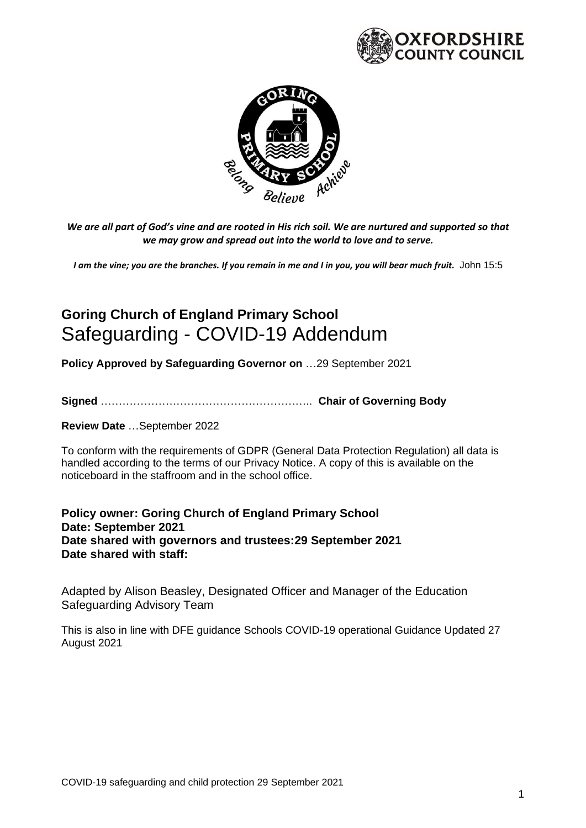



*We are all part of God's vine and are rooted in His rich soil. We are nurtured and supported so that we may grow and spread out into the world to love and to serve.*

*I am the vine; you are the branches. If you remain in me and I in you, you will bear much fruit.* John 15:5

# **Goring Church of England Primary School** Safeguarding - COVID-19 Addendum

**Policy Approved by Safeguarding Governor on** …29 September 2021

**Signed** ………………………………………………….. **Chair of Governing Body**

**Review Date** …September 2022

To conform with the requirements of GDPR (General Data Protection Regulation) all data is handled according to the terms of our Privacy Notice. A copy of this is available on the noticeboard in the staffroom and in the school office.

**Policy owner: Goring Church of England Primary School Date: September 2021 Date shared with governors and trustees:29 September 2021 Date shared with staff:**

Adapted by Alison Beasley, Designated Officer and Manager of the Education Safeguarding Advisory Team

This is also in line with DFE guidance Schools COVID-19 operational Guidance Updated 27 August 2021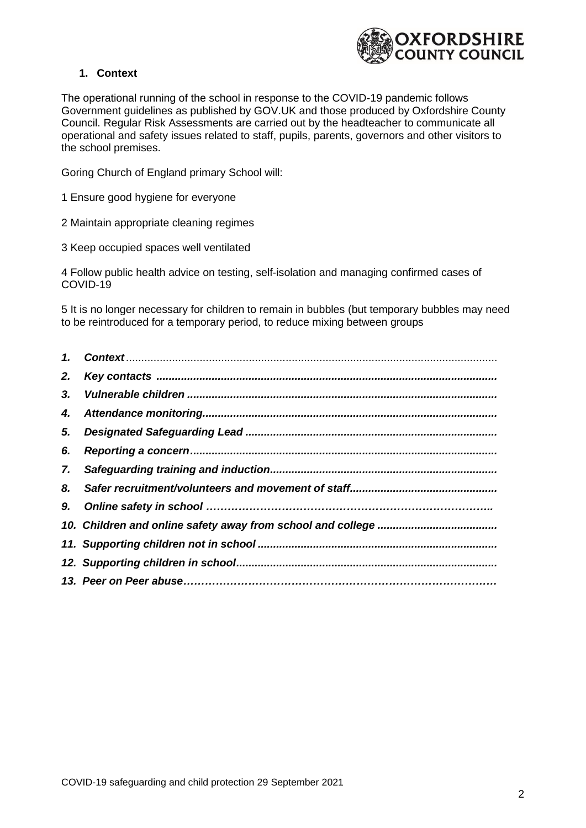

## **1. Context**

The operational running of the school in response to the COVID-19 pandemic follows Government guidelines as published by GOV.UK and those produced by Oxfordshire County Council. Regular Risk Assessments are carried out by the headteacher to communicate all operational and safety issues related to staff, pupils, parents, governors and other visitors to the school premises.

Goring Church of England primary School will:

- 1 Ensure good hygiene for everyone
- 2 Maintain appropriate cleaning regimes
- 3 Keep occupied spaces well ventilated

4 Follow public health advice on testing, self-isolation and managing confirmed cases of COVID-19

5 It is no longer necessary for children to remain in bubbles (but temporary bubbles may need to be reintroduced for a temporary period, to reduce mixing between groups

| 2. |  |
|----|--|
| 3. |  |
|    |  |
| 5. |  |
| 6. |  |
|    |  |
|    |  |
|    |  |
|    |  |
|    |  |
|    |  |
|    |  |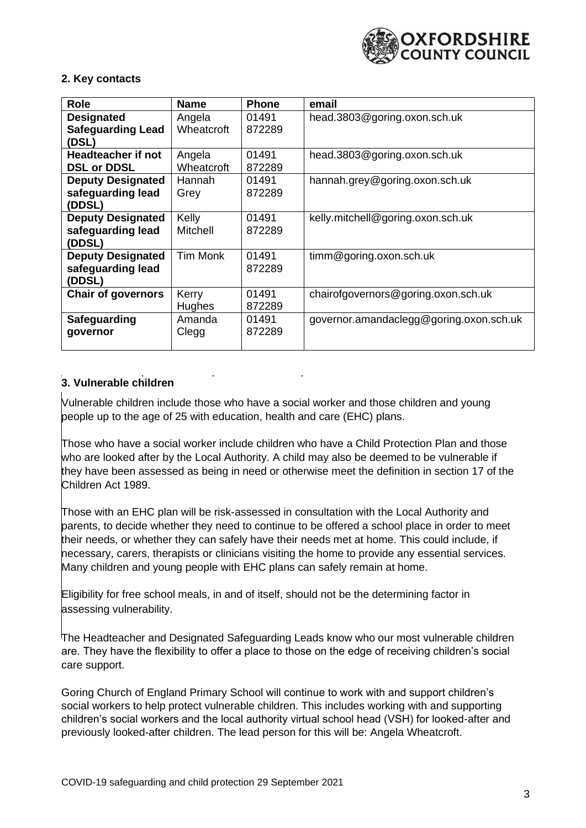

## **2. Key contacts**

| <b>Role</b>               | <b>Name</b>   | <b>Phone</b> | email                                   |
|---------------------------|---------------|--------------|-----------------------------------------|
| <b>Designated</b>         | Angela        | 01491        | head.3803@goring.oxon.sch.uk            |
| <b>Safeguarding Lead</b>  | Wheatcroft    | 872289       |                                         |
| (DSL)                     |               |              |                                         |
| Headteacher if not        | Angela        | 01491        | head.3803@goring.oxon.sch.uk            |
| <b>DSL or DDSL</b>        | Wheatcroft    | 872289       |                                         |
| <b>Deputy Designated</b>  | Hannah        | 01491        | hannah.grey@goring.oxon.sch.uk          |
| safeguarding lead         | Grey          | 872289       |                                         |
| (DDSL)                    |               |              |                                         |
| <b>Deputy Designated</b>  | Kelly         | 01491        | kelly.mitchell@goring.oxon.sch.uk       |
| safeguarding lead         | Mitchell      | 872289       |                                         |
| (DDSL)                    |               |              |                                         |
| <b>Deputy Designated</b>  | Tim Monk      | 01491        | timm@goring.oxon.sch.uk                 |
| safeguarding lead         |               | 872289       |                                         |
| (DDSL)                    |               |              |                                         |
| <b>Chair of governors</b> | Kerry         | 01491        | chairofgovernors@goring.oxon.sch.uk     |
|                           | <b>Hughes</b> | 872289       |                                         |
| Safeguarding              | Amanda        | 01491        | governor.amandaclegg@goring.oxon.sch.uk |
| governor                  | Clegg         | 872289       |                                         |
|                           |               |              |                                         |

# **3. Vulnerable children**

Vulnerable children include those who have a social worker and those children and young people up to the age of 25 with education, health and care (EHC) plans.

Those who have a social worker include children who have a Child Protection Plan and those who are looked after by the Local Authority. A child may also be deemed to be vulnerable if they have been assessed as being in need or otherwise meet the definition in section 17 of the Children Act 1989.

Those with an EHC plan will be risk-assessed in consultation with the Local Authority and parents, to decide whether they need to continue to be offered a school place in order to meet their needs, or whether they can safely have their needs met at home. This could include, if necessary, carers, therapists or clinicians visiting the home to provide any essential services. Many children and young people with EHC plans can safely remain at home.

Eligibility for free school meals, in and of itself, should not be the determining factor in assessing vulnerability.

The Headteacher and Designated Safeguarding Leads know who our most vulnerable children are. They have the flexibility to offer a place to those on the edge of receiving children's social care support.

Goring Church of England Primary School will continue to work with and support children's social workers to help protect vulnerable children. This includes working with and supporting children's social workers and the local authority virtual school head (VSH) for looked-after and previously looked-after children. The lead person for this will be: Angela Wheatcroft.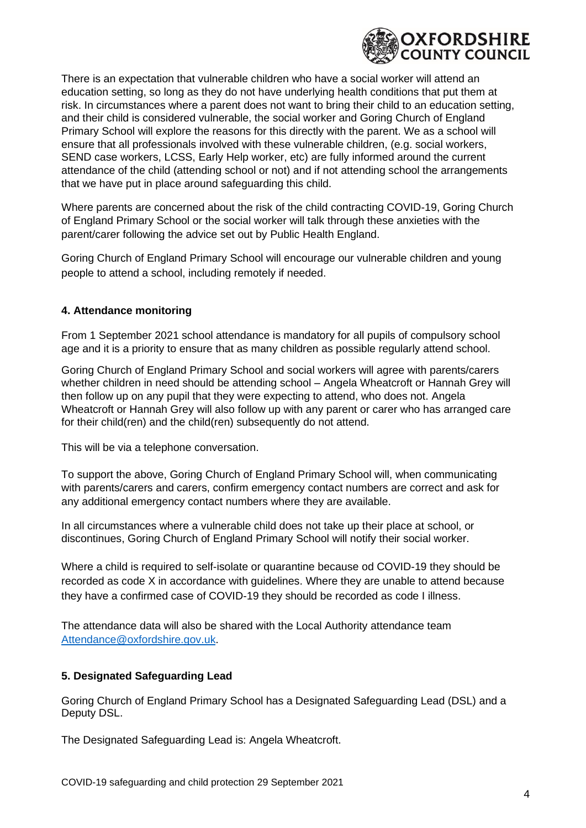

There is an expectation that vulnerable children who have a social worker will attend an education setting, so long as they do not have underlying health conditions that put them at risk. In circumstances where a parent does not want to bring their child to an education setting, and their child is considered vulnerable, the social worker and Goring Church of England Primary School will explore the reasons for this directly with the parent. We as a school will ensure that all professionals involved with these vulnerable children, (e.g. social workers, SEND case workers, LCSS, Early Help worker, etc) are fully informed around the current attendance of the child (attending school or not) and if not attending school the arrangements that we have put in place around safeguarding this child.

Where parents are concerned about the risk of the child contracting COVID-19, Goring Church of England Primary School or the social worker will talk through these anxieties with the parent/carer following the advice set out by Public Health England.

Goring Church of England Primary School will encourage our vulnerable children and young people to attend a school, including remotely if needed.

## **4. Attendance monitoring**

From 1 September 2021 school attendance is mandatory for all pupils of compulsory school age and it is a priority to ensure that as many children as possible regularly attend school.

Goring Church of England Primary School and social workers will agree with parents/carers whether children in need should be attending school – Angela Wheatcroft or Hannah Grey will then follow up on any pupil that they were expecting to attend, who does not. Angela Wheatcroft or Hannah Grey will also follow up with any parent or carer who has arranged care for their child(ren) and the child(ren) subsequently do not attend.

This will be via a telephone conversation.

To support the above, Goring Church of England Primary School will, when communicating with parents/carers and carers, confirm emergency contact numbers are correct and ask for any additional emergency contact numbers where they are available.

In all circumstances where a vulnerable child does not take up their place at school, or discontinues, Goring Church of England Primary School will notify their social worker.

Where a child is required to self-isolate or quarantine because od COVID-19 they should be recorded as code X in accordance with guidelines. Where they are unable to attend because they have a confirmed case of COVID-19 they should be recorded as code I illness.

The attendance data will also be shared with the Local Authority attendance team [Attendance@oxfordshire.gov.uk.](mailto:Attendance@oxfordshire.gov.uk)

## **5. Designated Safeguarding Lead**

Goring Church of England Primary School has a Designated Safeguarding Lead (DSL) and a Deputy DSL.

The Designated Safeguarding Lead is: Angela Wheatcroft.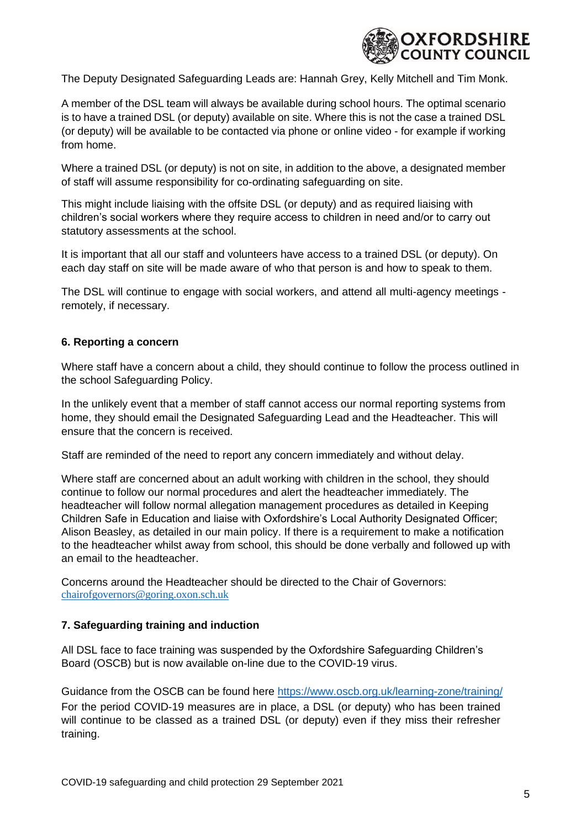

The Deputy Designated Safeguarding Leads are: Hannah Grey, Kelly Mitchell and Tim Monk.

A member of the DSL team will always be available during school hours. The optimal scenario is to have a trained DSL (or deputy) available on site. Where this is not the case a trained DSL (or deputy) will be available to be contacted via phone or online video - for example if working from home.

Where a trained DSL (or deputy) is not on site, in addition to the above, a designated member of staff will assume responsibility for co-ordinating safeguarding on site.

This might include liaising with the offsite DSL (or deputy) and as required liaising with children's social workers where they require access to children in need and/or to carry out statutory assessments at the school.

It is important that all our staff and volunteers have access to a trained DSL (or deputy). On each day staff on site will be made aware of who that person is and how to speak to them.

The DSL will continue to engage with social workers, and attend all multi-agency meetings remotely, if necessary.

#### **6. Reporting a concern**

Where staff have a concern about a child, they should continue to follow the process outlined in the school Safeguarding Policy.

In the unlikely event that a member of staff cannot access our normal reporting systems from home, they should email the Designated Safeguarding Lead and the Headteacher. This will ensure that the concern is received.

Staff are reminded of the need to report any concern immediately and without delay.

Where staff are concerned about an adult working with children in the school, they should continue to follow our normal procedures and alert the headteacher immediately. The headteacher will follow normal allegation management procedures as detailed in Keeping Children Safe in Education and liaise with Oxfordshire's Local Authority Designated Officer; Alison Beasley, as detailed in our main policy. If there is a requirement to make a notification to the headteacher whilst away from school, this should be done verbally and followed up with an email to the headteacher.

Concerns around the Headteacher should be directed to the Chair of Governors: [chairofgovernors@goring.oxon.sch.uk](file:///C:/Users/kerry/AppData/Local/Microsoft/Windows/INetCache/Content.Outlook/LI81QVLW/chairofgovernors@goring.oxon.sch.uk)

#### **7. Safeguarding training and induction**

All DSL face to face training was suspended by the Oxfordshire Safeguarding Children's Board (OSCB) but is now available on-line due to the COVID-19 virus.

Guidance from the OSCB can be found here<https://www.oscb.org.uk/learning-zone/training/> For the period COVID-19 measures are in place, a DSL (or deputy) who has been trained will continue to be classed as a trained DSL (or deputy) even if they miss their refresher training.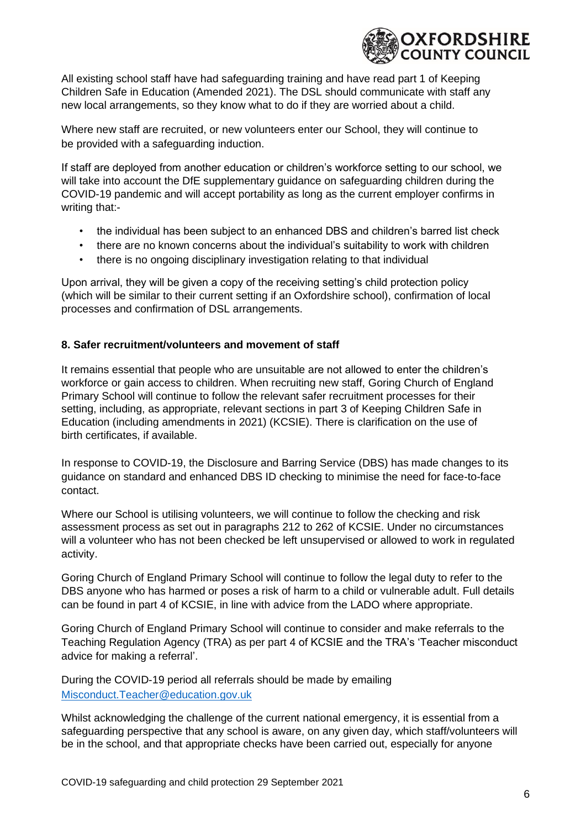

All existing school staff have had safeguarding training and have read part 1 of Keeping Children Safe in Education (Amended 2021). The DSL should communicate with staff any new local arrangements, so they know what to do if they are worried about a child.

Where new staff are recruited, or new volunteers enter our School, they will continue to be provided with a safeguarding induction.

If staff are deployed from another education or children's workforce setting to our school, we will take into account the DfE supplementary guidance on safeguarding children during the COVID-19 pandemic and will accept portability as long as the current employer confirms in writing that:-

- the individual has been subject to an enhanced DBS and children's barred list check
- there are no known concerns about the individual's suitability to work with children
- there is no ongoing disciplinary investigation relating to that individual

Upon arrival, they will be given a copy of the receiving setting's child protection policy (which will be similar to their current setting if an Oxfordshire school), confirmation of local processes and confirmation of DSL arrangements.

#### **8. Safer recruitment/volunteers and movement of staff**

It remains essential that people who are unsuitable are not allowed to enter the children's workforce or gain access to children. When recruiting new staff, Goring Church of England Primary School will continue to follow the relevant safer recruitment processes for their setting, including, as appropriate, relevant sections in part 3 of Keeping Children Safe in Education (including amendments in 2021) (KCSIE). There is clarification on the use of birth certificates, if available.

In response to COVID-19, the Disclosure and Barring Service (DBS) has made changes to its guidance on standard and enhanced DBS ID checking to minimise the need for face-to-face contact.

Where our School is utilising volunteers, we will continue to follow the checking and risk assessment process as set out in paragraphs 212 to 262 of KCSIE. Under no circumstances will a volunteer who has not been checked be left unsupervised or allowed to work in regulated activity.

Goring Church of England Primary School will continue to follow the legal duty to refer to the DBS anyone who has harmed or poses a risk of harm to a child or vulnerable adult. Full details can be found in part 4 of KCSIE, in line with advice from the LADO where appropriate.

Goring Church of England Primary School will continue to consider and make referrals to the Teaching Regulation Agency (TRA) as per part 4 of KCSIE and the TRA's 'Teacher misconduct advice for making a referral'.

During the COVID-19 period all referrals should be made by emailing Misconduct.Teacher@education.gov.uk

Whilst acknowledging the challenge of the current national emergency, it is essential from a safeguarding perspective that any school is aware, on any given day, which staff/volunteers will be in the school, and that appropriate checks have been carried out, especially for anyone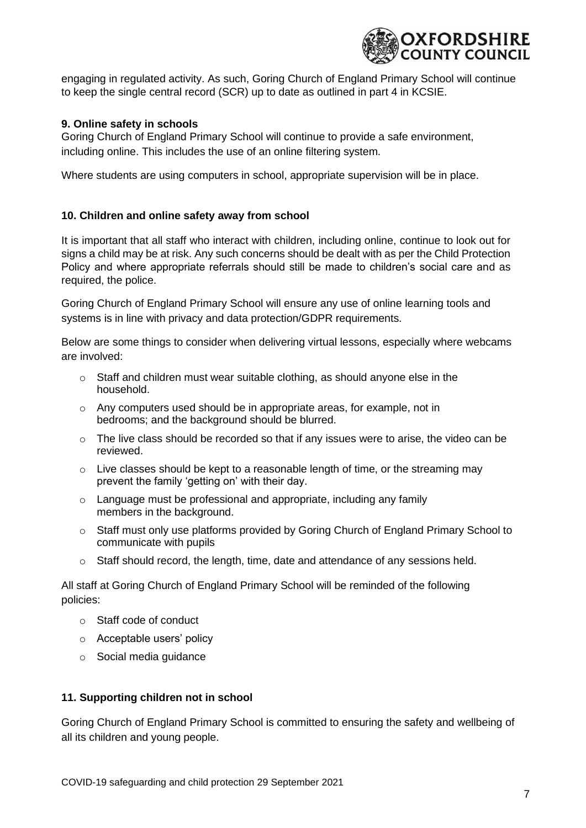

engaging in regulated activity. As such, Goring Church of England Primary School will continue to keep the single central record (SCR) up to date as outlined in part 4 in KCSIE.

## **9. Online safety in schools**

Goring Church of England Primary School will continue to provide a safe environment, including online. This includes the use of an online filtering system.

Where students are using computers in school, appropriate supervision will be in place.

## **10. Children and online safety away from school**

It is important that all staff who interact with children, including online, continue to look out for signs a child may be at risk. Any such concerns should be dealt with as per the Child Protection Policy and where appropriate referrals should still be made to children's social care and as required, the police.

Goring Church of England Primary School will ensure any use of online learning tools and systems is in line with privacy and data protection/GDPR requirements.

Below are some things to consider when delivering virtual lessons, especially where webcams are involved:

- $\circ$  Staff and children must wear suitable clothing, as should anyone else in the household.
- $\circ$  Any computers used should be in appropriate areas, for example, not in bedrooms; and the background should be blurred.
- $\circ$  The live class should be recorded so that if any issues were to arise, the video can be reviewed.
- $\circ$  Live classes should be kept to a reasonable length of time, or the streaming may prevent the family 'getting on' with their day.
- o Language must be professional and appropriate, including any family members in the background.
- o Staff must only use platforms provided by Goring Church of England Primary School to communicate with pupils
- o Staff should record, the length, time, date and attendance of any sessions held.

All staff at Goring Church of England Primary School will be reminded of the following policies:

- o Staff code of conduct
- o Acceptable users' policy
- o Social media guidance

#### **11. Supporting children not in school**

Goring Church of England Primary School is committed to ensuring the safety and wellbeing of all its children and young people.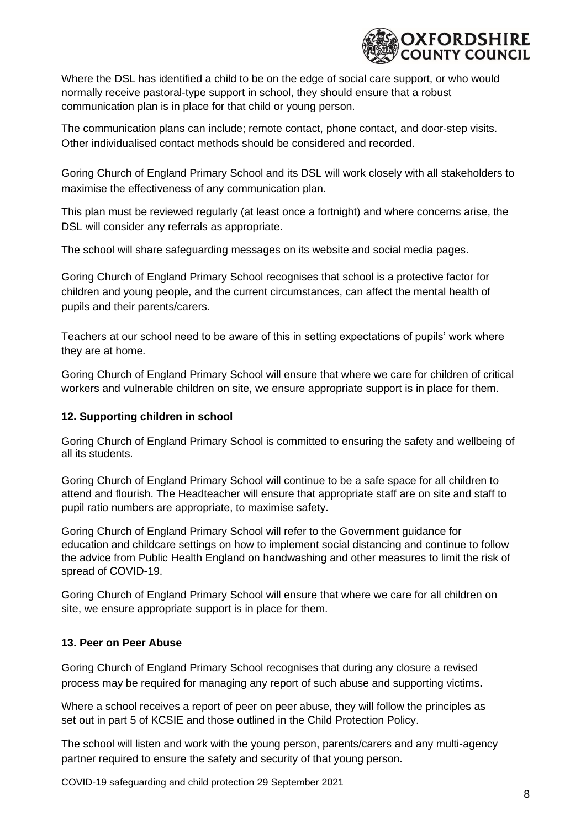

Where the DSL has identified a child to be on the edge of social care support, or who would normally receive pastoral-type support in school, they should ensure that a robust communication plan is in place for that child or young person.

The communication plans can include; remote contact, phone contact, and door-step visits. Other individualised contact methods should be considered and recorded.

Goring Church of England Primary School and its DSL will work closely with all stakeholders to maximise the effectiveness of any communication plan.

This plan must be reviewed regularly (at least once a fortnight) and where concerns arise, the DSL will consider any referrals as appropriate.

The school will share safeguarding messages on its website and social media pages.

Goring Church of England Primary School recognises that school is a protective factor for children and young people, and the current circumstances, can affect the mental health of pupils and their parents/carers.

Teachers at our school need to be aware of this in setting expectations of pupils' work where they are at home.

Goring Church of England Primary School will ensure that where we care for children of critical workers and vulnerable children on site, we ensure appropriate support is in place for them.

## **12. Supporting children in school**

Goring Church of England Primary School is committed to ensuring the safety and wellbeing of all its students.

Goring Church of England Primary School will continue to be a safe space for all children to attend and flourish. The Headteacher will ensure that appropriate staff are on site and staff to pupil ratio numbers are appropriate, to maximise safety.

Goring Church of England Primary School will refer to the Government guidance for education and childcare settings on how to implement social distancing and continue to follow the advice from Public Health England on handwashing and other measures to limit the risk of spread of COVID-19.

Goring Church of England Primary School will ensure that where we care for all children on site, we ensure appropriate support is in place for them.

## **13. Peer on Peer Abuse**

Goring Church of England Primary School recognises that during any closure a revised process may be required for managing any report of such abuse and supporting victims**.**

Where a school receives a report of peer on peer abuse, they will follow the principles as set out in part 5 of KCSIE and those outlined in the Child Protection Policy.

The school will listen and work with the young person, parents/carers and any multi-agency partner required to ensure the safety and security of that young person.

COVID-19 safeguarding and child protection 29 September 2021